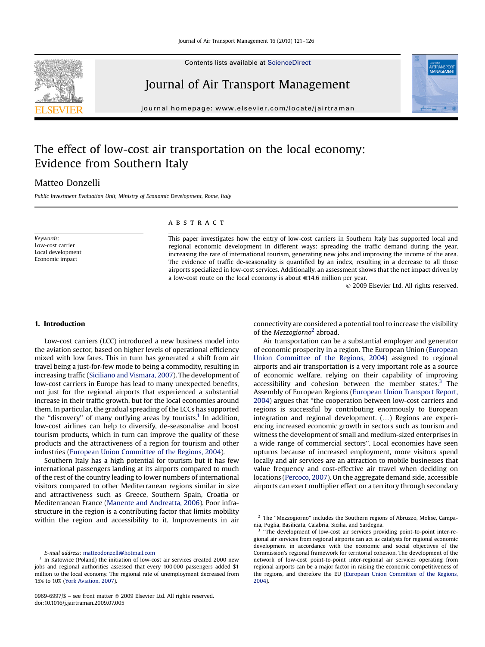Contents lists available at [ScienceDirect](www.sciencedirect.com/science/journal/09696997)

## Journal of Air Transport Management

journal homepage: [www.elsevier.com/locate/jairtraman](http://www.elsevier.com/locate/jairtraman)

## The effect of low-cost air transportation on the local economy: Evidence from Southern Italy

### Matteo Donzelli

Public Investment Evaluation Unit, Ministry of Economic Development, Rome, Italy

Keywords: Low-cost carrier Local development Economic impact

#### **ABSTRACT**

This paper investigates how the entry of low-cost carriers in Southern Italy has supported local and regional economic development in different ways: spreading the traffic demand during the year, increasing the rate of international tourism, generating new jobs and improving the income of the area. The evidence of traffic de-seasonality is quantified by an index, resulting in a decrease to all those airports specialized in low-cost services. Additionally, an assessment shows that the net impact driven by a low-cost route on the local economy is about  $\in$  14.6 million per year.

- 2009 Elsevier Ltd. All rights reserved.

#### 1. Introduction

Low-cost carriers (LCC) introduced a new business model into the aviation sector, based on higher levels of operational efficiency mixed with low fares. This in turn has generated a shift from air travel being a just-for-few mode to being a commodity, resulting in increasing traffic ([Siciliano and Vismara, 2007\)](#page--1-0). The development of low-cost carriers in Europe has lead to many unexpected benefits, not just for the regional airports that experienced a substantial increase in their traffic growth, but for the local economies around them. In particular, the gradual spreading of the LCCs has supported the "discovery" of many outlying areas by tourists.<sup>1</sup> In addition, low-cost airlines can help to diversify, de-seasonalise and boost tourism products, which in turn can improve the quality of these products and the attractiveness of a region for tourism and other industries ([European Union Committee of the Regions, 2004](#page--1-0)).

Southern Italy has a high potential for tourism but it has few international passengers landing at its airports compared to much of the rest of the country leading to lower numbers of international visitors compared to other Mediterranean regions similar in size and attractiveness such as Greece, Southern Spain, Croatia or Mediterranean France [\(Manente and Andreatta, 2006](#page--1-0)). Poor infrastructure in the region is a contributing factor that limits mobility within the region and accessibility to it. Improvements in air connectivity are considered a potential tool to increase the visibility of the *Mezzogiorno*<sup>2</sup> abroad.

Air transportation can be a substantial employer and generator of economic prosperity in a region. The European Union ([European](#page--1-0) [Union Committee of the Regions, 2004\)](#page--1-0) assigned to regional airports and air transportation is a very important role as a source of economic welfare, relying on their capability of improving accessibility and cohesion between the member states. $3$  The Assembly of European Regions [\(European Union Transport Report,](#page--1-0) [2004\)](#page--1-0) argues that ''the cooperation between low-cost carriers and regions is successful by contributing enormously to European integration and regional development. (...) Regions are experiencing increased economic growth in sectors such as tourism and witness the development of small and medium-sized enterprises in a wide range of commercial sectors''. Local economies have seen upturns because of increased employment, more visitors spend locally and air services are an attraction to mobile businesses that value frequency and cost-effective air travel when deciding on locations [\(Percoco, 2007](#page--1-0)). On the aggregate demand side, accessible airports can exert multiplier effect on a territory through secondary





E-mail address: [matteodonzelli@hotmail.com](mailto:matteodonzelli@hotmail.com)

<sup>&</sup>lt;sup>1</sup> In Katowice (Poland) the initiation of low-cost air services created 2000 new jobs and regional authorities assessed that every 100 000 passengers added \$1 million to the local economy. The regional rate of unemployment decreased from 15% to 10% [\(York Aviation, 2007](#page--1-0)).

<sup>0969-6997/\$ –</sup> see front matter © 2009 Elsevier Ltd. All rights reserved. doi:10.1016/j.jairtraman.2009.07.005

<sup>&</sup>lt;sup>2</sup> The "Mezzogiorno" includes the Southern regions of Abruzzo, Molise, Campania, Puglia, Basilicata, Calabria, Sicilia, and Sardegna.

<sup>&</sup>quot;The development of low-cost air services providing point-to-point inter-regional air services from regional airports can act as catalysts for regional economic development in accordance with the economic and social objectives of the Commission's regional framework for territorial cohesion. The development of the network of low-cost point-to-point inter-regional air services operating from regional airports can be a major factor in raising the economic competitiveness of the regions, and therefore the EU ([European Union Committee of the Regions,](#page--1-0) [2004\)](#page--1-0).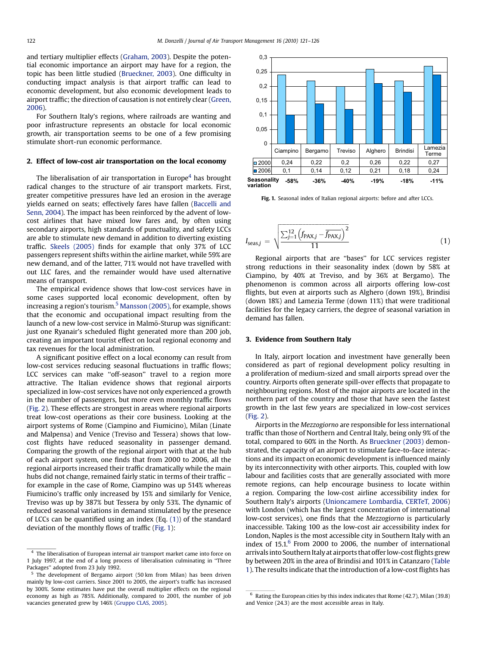and tertiary multiplier effects [\(Graham, 2003](#page--1-0)). Despite the potential economic importance an airport may have for a region, the topic has been little studied [\(Brueckner, 2003\)](#page--1-0). One difficulty in conducting impact analysis is that airport traffic can lead to economic development, but also economic development leads to airport traffic; the direction of causation is not entirely clear [\(Green,](#page--1-0) [2006](#page--1-0)).

For Southern Italy's regions, where railroads are wanting and poor infrastructure represents an obstacle for local economic growth, air transportation seems to be one of a few promising stimulate short-run economic performance.

#### 2. Effect of low-cost air transportation on the local economy

The liberalisation of air transportation in Europe<sup>4</sup> has brought radical changes to the structure of air transport markets. First, greater competitive pressures have led an erosion in the average yields earned on seats; effectively fares have fallen ([Baccelli and](#page--1-0) [Senn, 2004\)](#page--1-0). The impact has been reinforced by the advent of lowcost airlines that have mixed low fares and, by often using secondary airports, high standards of punctuality, and safety LCCs are able to stimulate new demand in addition to diverting existing traffic. [Skeels \(2005\)](#page--1-0) finds for example that only 37% of LCC passengers represent shifts within the airline market, while 59% are new demand, and of the latter, 71% would not have travelled with out LLC fares, and the remainder would have used alternative means of transport.

The empirical evidence shows that low-cost services have in some cases supported local economic development, often by increasing a region's tourism.<sup>5</sup> [Mansson \(2005\)](#page--1-0), for example, shows that the economic and occupational impact resulting from the launch of a new low-cost service in Malmö-Sturup was significant: just one Ryanair's scheduled flight generated more than 200 job, creating an important tourist effect on local regional economy and tax revenues for the local administration.

A significant positive effect on a local economy can result from low-cost services reducing seasonal fluctuations in traffic flows; LCC services can make ''off-season'' travel to a region more attractive. The Italian evidence shows that regional airports specialized in low-cost services have not only experienced a growth in the number of passengers, but more even monthly traffic flows ([Fig. 2\)](#page--1-0). These effects are strongest in areas where regional airports treat low-cost operations as their core business. Looking at the airport systems of Rome (Ciampino and Fiumicino), Milan (Linate and Malpensa) and Venice (Treviso and Tessera) shows that lowcost flights have reduced seasonality in passenger demand. Comparing the growth of the regional airport with that at the hub of each airport system, one finds that from 2000 to 2006, all the regional airports increased their traffic dramatically while the main hubs did not change, remained fairly static in terms of their traffic – for example in the case of Rome, Ciampino was up 514% whereas Fiumicino's traffic only increased by 15% and similarly for Venice, Treviso was up by 387% but Tessera by only 53%. The dynamic of reduced seasonal variations in demand stimulated by the presence of LCCs can be quantified using an index (Eq. (1)) of the standard deviation of the monthly flows of traffic (Fig. 1):



Fig. 1. Seasonal index of Italian regional airports: before and after LCCs.

$$
I_{\text{seas},j} = \sqrt{\frac{\sum_{j=1}^{12} (f_{\text{PAX},j} - \overline{f_{\text{PAX},j}})^2}{11}}
$$
(1)

Regional airports that are ''bases'' for LCC services register strong reductions in their seasonality index (down by 58% at Ciampino, by 40% at Treviso, and by 36% at Bergamo). The phenomenon is common across all airports offering low-cost flights, but even at airports such as Alghero (down 19%), Brindisi (down 18%) and Lamezia Terme (down 11%) that were traditional facilities for the legacy carriers, the degree of seasonal variation in demand has fallen.

#### 3. Evidence from Southern Italy

In Italy, airport location and investment have generally been considered as part of regional development policy resulting in a proliferation of medium-sized and small airports spread over the country. Airports often generate spill-over effects that propagate to neighbouring regions. Most of the major airports are located in the northern part of the country and those that have seen the fastest growth in the last few years are specialized in low-cost services ([Fig. 2\)](#page--1-0).

Airports in the Mezzogiorno are responsible for less international traffic than those of Northern and Central Italy, being only 9% of the total, compared to 60% in the North. As [Brueckner \(2003\)](#page--1-0) demonstrated, the capacity of an airport to stimulate face-to-face interactions and its impact on economic development is influenced mainly by its interconnectivity with other airports. This, coupled with low labour and facilities costs that are generally associated with more remote regions, can help encourage business to locate within a region. Comparing the low-cost airline accessibility index for Southern Italy's airports [\(Unioncamere Lombardia, CERTeT, 2006\)](#page--1-0) with London (which has the largest concentration of international low-cost services), one finds that the Mezzogiorno is particularly inaccessible. Taking 100 as the low-cost air accessibility index for London, Naples is the most accessible city in Southern Italy with an index of  $15.1<sup>6</sup>$  From 2000 to 2006, the number of international arrivals into Southern Italy at airports that offerlow-cost flights grew by between 20% in the area of Brindisi and 101% in Catanzaro [\(Table](#page--1-0) [1\)](#page--1-0). The results indicate that the introduction of a low-cost flights has

<sup>&</sup>lt;sup>4</sup> The liberalisation of European internal air transport market came into force on 1 July 1997, at the end of a long process of liberalisation culminating in ''Three Packages" adopted from 23 July 1992.

<sup>5</sup> The development of Bergamo airport (50 km from Milan) has been driven mainly by low-cost carriers. Since 2001 to 2005, the airport's traffic has increased by 300%. Some estimates have put the overall multiplier effects on the regional economy as high as 785%. Additionally, compared to 2001, the number of job vacancies generated grew by 146% ([Gruppo CLAS, 2005\)](#page--1-0).

 $6$  Rating the European cities by this index indicates that Rome (42.7), Milan (39.8) and Venice (24.3) are the most accessible areas in Italy.